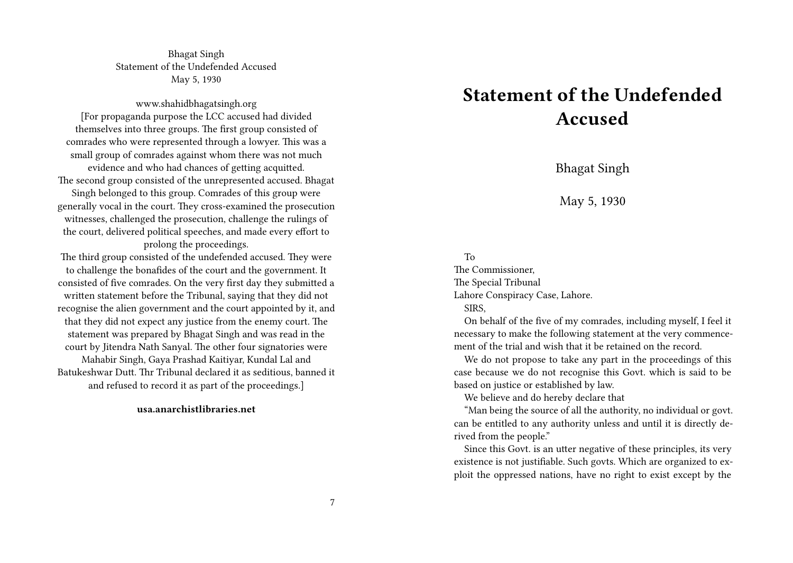Bhagat Singh Statement of the Undefended Accused May 5, 1930

www.shahidbhagatsingh.org [For propaganda purpose the LCC accused had divided themselves into three groups. The first group consisted of comrades who were represented through a lowyer. This was a small group of comrades against whom there was not much evidence and who had chances of getting acquitted. The second group consisted of the unrepresented accused. Bhagat Singh belonged to this group. Comrades of this group were generally vocal in the court. They cross-examined the prosecution witnesses, challenged the prosecution, challenge the rulings of the court, delivered political speeches, and made every effort to prolong the proceedings.

The third group consisted of the undefended accused. They were to challenge the bonafides of the court and the government. It consisted of five comrades. On the very first day they submitted a written statement before the Tribunal, saying that they did not recognise the alien government and the court appointed by it, and that they did not expect any justice from the enemy court. The statement was prepared by Bhagat Singh and was read in the court by Jitendra Nath Sanyal. The other four signatories were Mahabir Singh, Gaya Prashad Kaitiyar, Kundal Lal and Batukeshwar Dutt. Thr Tribunal declared it as seditious, banned it and refused to record it as part of the proceedings.]

## **usa.anarchistlibraries.net**

## **Statement of the Undefended Accused**

Bhagat Singh

May 5, 1930

## To

The Commissioner, The Special Tribunal

Lahore Conspiracy Case, Lahore.

SIRS,

On behalf of the five of my comrades, including myself, I feel it necessary to make the following statement at the very commencement of the trial and wish that it be retained on the record.

We do not propose to take any part in the proceedings of this case because we do not recognise this Govt. which is said to be based on justice or established by law.

We believe and do hereby declare that

"Man being the source of all the authority, no individual or govt. can be entitled to any authority unless and until it is directly derived from the people."

Since this Govt. is an utter negative of these principles, its very existence is not justifiable. Such govts. Which are organized to exploit the oppressed nations, have no right to exist except by the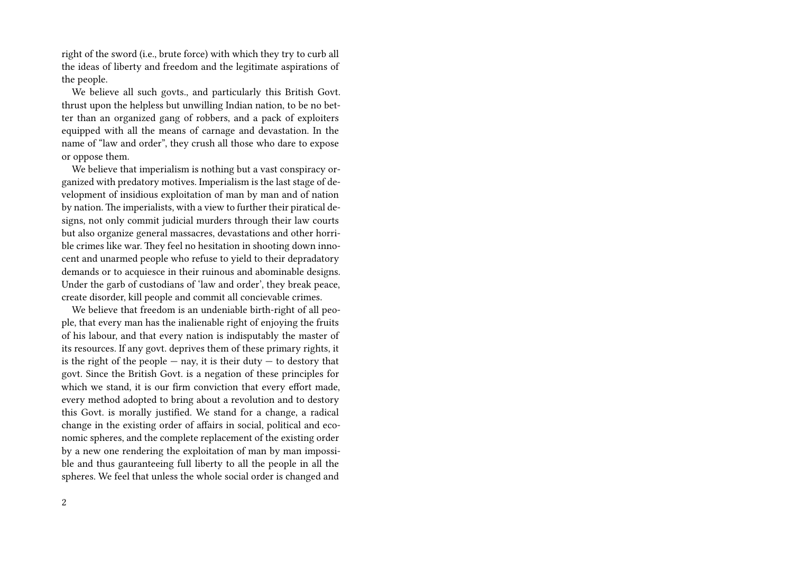right of the sword (i.e., brute force) with which they try to curb all the ideas of liberty and freedom and the legitimate aspirations of the people.

We believe all such govts., and particularly this British Govt. thrust upon the helpless but unwilling Indian nation, to be no better than an organized gang of robbers, and a pack of exploiters equipped with all the means of carnage and devastation. In the name of "law and order", they crush all those who dare to expose or oppose them.

We believe that imperialism is nothing but a vast conspiracy organized with predatory motives. Imperialism is the last stage of development of insidious exploitation of man by man and of nation by nation. The imperialists, with a view to further their piratical designs, not only commit judicial murders through their law courts but also organize general massacres, devastations and other horrible crimes like war. They feel no hesitation in shooting down innocent and unarmed people who refuse to yield to their depradatory demands or to acquiesce in their ruinous and abominable designs. Under the garb of custodians of 'law and order', they break peace, create disorder, kill people and commit all concievable crimes.

We believe that freedom is an undeniable birth-right of all people, that every man has the inalienable right of enjoying the fruits of his labour, and that every nation is indisputably the master of its resources. If any govt. deprives them of these primary rights, it is the right of the people  $-$  nay, it is their duty  $-$  to destory that govt. Since the British Govt. is a negation of these principles for which we stand, it is our firm conviction that every effort made, every method adopted to bring about a revolution and to destory this Govt. is morally justified. We stand for a change, a radical change in the existing order of affairs in social, political and economic spheres, and the complete replacement of the existing order by a new one rendering the exploitation of man by man impossible and thus gauranteeing full liberty to all the people in all the spheres. We feel that unless the whole social order is changed and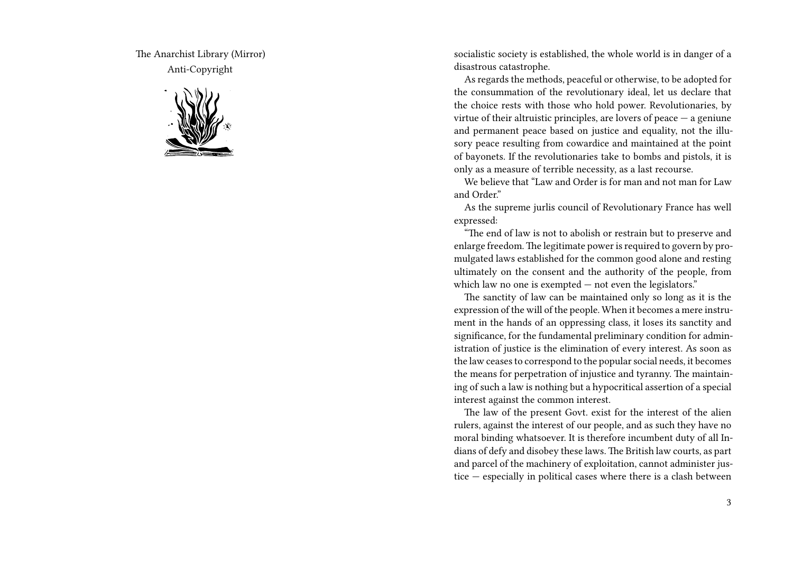The Anarchist Library (Mirror) Anti-Copyright



socialistic society is established, the whole world is in danger of a disastrous catastrophe.

As regards the methods, peaceful or otherwise, to be adopted for the consummation of the revolutionary ideal, let us declare that the choice rests with those who hold power. Revolutionaries, by virtue of their altruistic principles, are lovers of peace  $-$  a geniune and permanent peace based on justice and equality, not the illusory peace resulting from cowardice and maintained at the point of bayonets. If the revolutionaries take to bombs and pistols, it is only as a measure of terrible necessity, as a last recourse.

We believe that "Law and Order is for man and not man for Law and Order."

As the supreme jurlis council of Revolutionary France has well expressed:

"The end of law is not to abolish or restrain but to preserve and enlarge freedom. The legitimate power is required to govern by promulgated laws established for the common good alone and resting ultimately on the consent and the authority of the people, from which law no one is exempted  $-$  not even the legislators."

The sanctity of law can be maintained only so long as it is the expression of the will of the people. When it becomes a mere instrument in the hands of an oppressing class, it loses its sanctity and significance, for the fundamental preliminary condition for administration of justice is the elimination of every interest. As soon as the law ceases to correspond to the popular social needs, it becomes the means for perpetration of injustice and tyranny. The maintaining of such a law is nothing but a hypocritical assertion of a special interest against the common interest.

The law of the present Govt. exist for the interest of the alien rulers, against the interest of our people, and as such they have no moral binding whatsoever. It is therefore incumbent duty of all Indians of defy and disobey these laws. The British law courts, as part and parcel of the machinery of exploitation, cannot administer justice — especially in political cases where there is a clash between